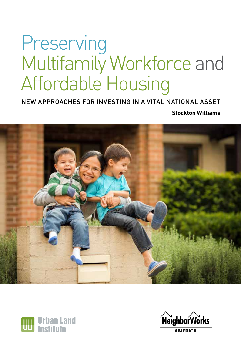# Preserving Multifamily Workforce and Affordable Housing

NEW APPROACHES FOR INVESTING IN A VITAL NATIONAL ASSET

**Stockton Williams**





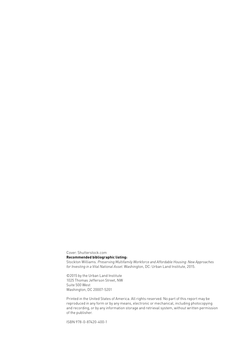Cover: Shutterstock.com

#### **Recommended bibliographic listing:**

Stockton Williams. *Preserving Multifamily Workforce and Affordable Housing: New Approaches for Investing in a Vital National Asset*. Washington, DC: Urban Land Institute, 2015.

©2015 by the Urban Land Institute 1025 Thomas Jefferson Street, NW Suite 500 West Washington, DC 20007-5201

Printed in the United States of America. All rights reserved. No part of this report may be reproduced in any form or by any means, electronic or mechanical, including photocopying and recording, or by any information storage and retrieval system, without written permission of the publisher.

ISBN 978-0-87420-400-1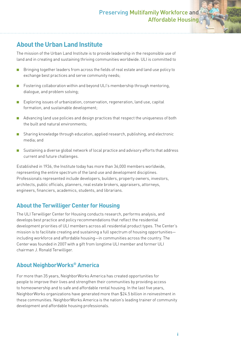#### **About the Urban Land Institute**

The mission of the Urban Land Institute is to provide leadership in the responsible use of land and in creating and sustaining thriving communities worldwide. ULI is committed to

- Bringing together leaders from across the fields of real estate and land use policy to exchange best practices and serve community needs;
- Fostering collaboration within and beyond ULI's membership through mentoring, dialogue, and problem solving;
- Exploring issues of urbanization, conservation, regeneration, land use, capital formation, and sustainable development;
- Advancing land use policies and design practices that respect the uniqueness of both the built and natural environments;
- Sharing knowledge through education, applied research, publishing, and electronic media; and
- Sustaining a diverse global network of local practice and advisory efforts that address current and future challenges.

Established in 1936, the Institute today has more than 36,000 members worldwide, representing the entire spectrum of the land use and development disciplines. Professionals represented include developers, builders, property owners, investors, architects, public officials, planners, real estate brokers, appraisers, attorneys, engineers, financiers, academics, students, and librarians.

#### **About the Terwilliger Center for Housing**

The ULI Terwilliger Center for Housing conducts research, performs analysis, and develops best practice and policy recommendations that reflect the residential development priorities of ULI members across all residential product types. The Center's mission is to facilitate creating and sustaining a full spectrum of housing opportunities including workforce and affordable housing—in communities across the country. The Center was founded in 2007 with a gift from longtime ULI member and former ULI chairman J. Ronald Terwilliger.

#### **About NeighborWorks® America**

For more than 35 years, NeighborWorks America has created opportunities for people to improve their lives and strengthen their communities by providing access to homeownership and to safe and affordable rental housing. In the last five years, NeighborWorks organizations have generated more than \$24.5 billion in reinvestment in these communities. NeighborWorks America is the nation's leading trainer of community development and affordable housing professionals.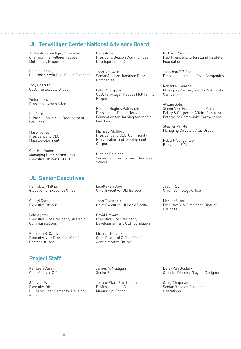#### **ULI Terwilliger Center National Advisory Board**

J. Ronald Terwilliger, Chairman Chairman, Terwilliger Pappas Multifamily Properties

Douglas Abbey Chairman, Swift Real Estate Partners

Toby Bozzuto CEO, The Bozzuto Group

Victoria Davis President, Urban Atlantic

Hal Ferris Principal, Spectrum Development **Solutions** 

Marty Jones President and CEO, MassDevelopment

Gadi Kaufmann Managing Director and Chief Executive Officer, RCLCO

#### **ULI Senior Executives**

Patrick L. Phillips Global Chief Executive Officer

Cheryl Cummins Executive Officer

Lela Agnew Executive Vice President, Strategic Communications

Kathleen B. Carey Executive Vice President/Chief Content Officer

Dara Kovel President, Beacon Communities Development LLC

John McIlwain Senior Adviser, Jonathan Rose Companies

Peter A. Pappas CEO, Terwilliger Pappas Multifamily Properties

Pamela Hughes Patenaude President, J. Ronald Terwilliger Foundation for Housing America's Families

Michael Pitchford President and CEO, Community Preservation and Development Corporation

Nicolas Retsinas Senior Lecturer, Harvard Business School

Lisette van Doorn Chief Executive, ULI Europe

John Fitzgerald Chief Executive, ULI Asia Pacific

David Howard Executive Vice President, Development and ULI Foundation

Michael Terseck Chief Financial Officer/Chief Administrative Officer

Richard Rosan Past President, Urban Land Institute Foundation

Jonathan F.P. Rose President, Jonathan Rose Companies

Robert M. Sharpe Managing Partner, Rancho Sahuarita **Company** 

Alazne Solis Senior Vice President and Public Policy & Corporate Affairs Executive Enterprise Community Partners Inc.

Stephen Whyte Managing Director, Vitus Group

Robert Youngentob President, EYA

Jason Ray Chief Technology Officer

Marilee Utter Executive Vice President, District Councils

#### **Project Staff**

Kathleen Carey Chief Content Officer

Stockton Williams Executive Director ULI Terwilliger Center for Housing Author

James A. Mulligan Senior Editor

Joanne Platt, Publications Professionals LLC Manuscript Editor

Betsy Van Buskirk Creative Director /Layout Designer

Craig Chapman, Senior Director, Publishing Operations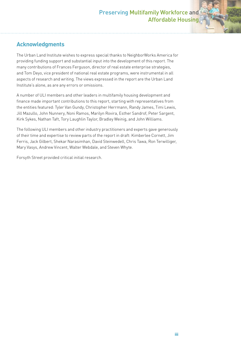#### **Acknowledgments**

The Urban Land Institute wishes to express special thanks to NeighborWorks America for providing funding support and substantial input into the development of this report. The many contributions of Frances Ferguson, director of real estate enterprise strategies, and Tom Deyo, vice president of national real estate programs, were instrumental in all aspects of research and writing. The views expressed in the report are the Urban Land Institute's alone, as are any errors or omissions.

A number of ULI members and other leaders in multifamily housing development and finance made important contributions to this report, starting with representatives from the entities featured: Tyler Van Gundy, Christopher Herrmann, Randy James, Timi Lewis, Jill Mazullo, John Nunnery, Noni Ramos, Marilyn Rovira, Esther Sandrof, Peter Sargent, Kirk Sykes, Nathan Taft, Tory Laughlin Taylor, Bradley Weinig, and John Williams.

The following ULI members and other industry practitioners and experts gave generously of their time and expertise to review parts of the report in draft: Kimberlee Cornett, Jim Ferris, Jack Gilbert, Shekar Narasimhan, David Steinwedell, Chris Tawa, Ron Terwilliger, Mary Vasys, Andrew Vincent, Walter Webdale, and Steven Whyte.

Forsyth Street provided critical initial research.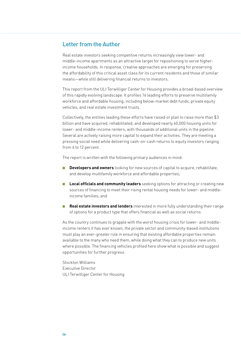#### **Letter from the Author**

Real estate investors seeking competitive returns increasingly view lower- and middle-income apartments as an attractive target for repositioning to serve higherincome households. In response, creative approaches are emerging for preserving the affordability of this critical asset class for its current residents and those of similar means—while still delivering financial returns to investors.

This report from the ULI Terwilliger Center for Housing provides a broad-based overview of this rapidly evolving landscape. It profiles 16 leading efforts to preserve multifamily workforce and affordable housing, including below-market debt funds, private equity vehicles, and real estate investment trusts.

Collectively, the entities leading these efforts have raised or plan to raise more than \$3 billion and have acquired, rehabilitated, and developed nearly 60,000 housing units for lower- and middle-income renters, with thousands of additional units in the pipeline. Several are actively raising more capital to expand their activities. They are meeting a pressing social need while delivering cash-on-cash returns to equity investors ranging from 6 to 12 percent.

The report is written with the following primary audiences in mind:

- **Developers and owners** looking for new sources of capital to acquire, rehabilitate, and develop multifamily workforce and affordable properties;
- **Local officials and community leaders** seeking options for attracting or creating new sources of financing to meet their rising rental housing needs for lower- and middleincome families; and
- **Real estate investors and lenders** interested in more fully understanding their range of options for a product type that offers financial as well as social returns.

As the country continues to grapple with the worst housing crisis for lower- and middleincome renters it has ever known, the private sector and community-based institutions must play an ever-greater role in ensuring that existing affordable properties remain available to the many who need them, while doing what they can to produce new units where possible. The financing vehicles profiled here show what is possible and suggest opportunities for further progress.

Stockton Williams Executive Director ULI Terwilliger Center for Housing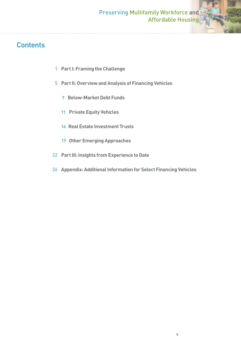### **Contents**

- **1 Part I: Framing the Challenge**
- **5 Part II: Overview and Analysis of Financing Vehicles**
	- 7 **Below-Market Debt Funds**
	- 11 **Private Equity Vehicles**
	- 16 **Real Estate Investment Trusts**
	- **19 Other Emerging Approaches**
- **22 Part III: Insights from Experience to Date**
- **26 Appendix: Additional Information for Select Financing Vehicles**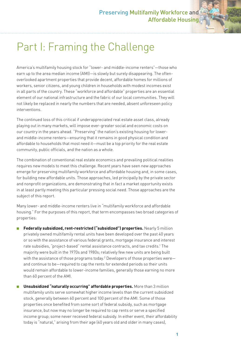## Part I: Framing the Challenge

America's multifamily housing stock for "lower- and middle-income renters"—those who earn up to the area median income (AMI)—is slowly but surely disappearing. The oftenoverlooked apartment properties that provide decent, affordable homes for millions of workers, senior citizens, and young children in households with modest incomes exist in all parts of the country. These "workforce and affordable" properties are an essential element of our national infrastructure and the fabric of our local communities. They will not likely be replaced in nearly the numbers that are needed, absent unforeseen policy interventions.

The continued loss of this critical if underappreciated real estate asset class, already playing out in many markets, will impose ever-greater social and economic costs on our country in the years ahead. "Preserving" the nation's existing housing for lowerand middle-income renters—ensuring that it remains in good physical condition and affordable to households that most need it—must be a top priority for the real estate community, public officials, and the nation as a whole.

The combination of conventional real estate economics and prevailing political realities requires new models to meet this challenge. Recent years have seen new approaches emerge for preserving multifamily workforce and affordable housing and, in some cases, for building new affordable units. Those approaches, led principally by the private sector and nonprofit organizations, are demonstrating that in fact a market opportunity exists in at least partly meeting this particular pressing social need. Those approaches are the subject of this report.

Many lower- and middle-income renters live in "multifamily workforce and affordable housing." For the purposes of this report, that term encompasses two broad categories of properties:

- **Federally subsidized, rent-restricted ("subsidized") properties.** Nearly 5 million privately owned multifamily rental units have been developed over the past 40 years or so with the assistance of various federal grants, mortgage insurance and interest rate subsidies, "project-based" rental assistance contracts, and tax credits.<sup>1</sup> The majority were built in the 1970s and 1980s; relatively few new units are being built with the assistance of those programs today. $^2$  Developers of those properties were and continue to be—required to cap the rents for extended periods so their units would remain affordable to lower-income families, generally those earning no more than 60 percent of the AMI.
- **Unsubsidized "naturally occurring" affordable properties.** More than 3 million multifamily units serve somewhat higher income levels than the current subsidized stock, generally between 60 percent and 100 percent of the AMI. Some of those properties once benefited from some sort of federal subsidy, such as mortgage insurance, but now may no longer be required to cap rents or serve a specified income group; some never received federal subsidy. In either event, their affordability today is "natural," arising from their age (40 years old and older in many cases),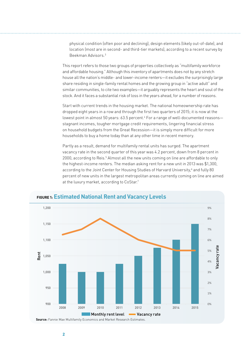physical condition (often poor and declining), design elements (likely out-of-date), and location (most are in second- and third-tier markets), according to a recent survey by Beekman Advisors.3

This report refers to those two groups of properties collectively as "multifamily workforce and affordable housing." Although this inventory of apartments does not by any stretch house all the nation's middle- and lower-income renters—it excludes the surprisingly large share residing in single-family rental homes and the growing group in "active adult" and similar communities, to cite two examples—it arguably represents the heart and soul of the stock. And it faces a substantial risk of loss in the years ahead, for a number of reasons.

Start with current trends in the housing market. The national homeownership rate has dropped eight years in a row and through the first two quarters of 2015; it is now at the lowest point in almost 50 years: 63.5 percent.4 For a range of well-documented reasons stagnant incomes, tougher mortgage credit requirements, lingering financial stress on household budgets from the Great Recession—it is simply more difficult for more households to buy a home today than at any other time in recent memory.

Partly as a result, demand for multifamily rental units has surged. The apartment vacancy rate in the second quarter of this year was 4.2 percent, down from 8 percent in 2000, according to Reis.<sup>5</sup> Almost all the new units coming on line are affordable to only the highest-income renters. The median asking rent for a new unit in 2013 was \$1,300, according to the Joint Center for Housing Studies of Harvard University,6 and fully 80 percent of new units in the largest metropolitan areas currently coming on line are aimed at the luxury market, according to CoStar.7



#### **FIGURE 1: Estimated National Rent and Vacancy Levels**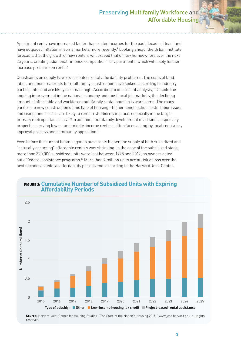#### Preserving Multifamily Workforce and Affordable Housing

Apartment rents have increased faster than renter incomes for the past decade at least and have outpaced inflation in some markets more recently.<sup>8</sup> Looking ahead, the Urban Institute forecasts that the growth of new renters will exceed that of new homeowners over the next 25 years, creating additional "intense competition" for apartments, which will likely further increase pressure on rents.<sup>9</sup>

Constraints on supply have exacerbated rental affordability problems. The costs of land, labor, and most materials for multifamily construction have spiked, according to industry participants, and are likely to remain high. According to one recent analysis, "Despite the ongoing improvement in the national economy and most local job markets, the declining amount of affordable and workforce multifamily rental housing is worrisome. The many barriers to new construction of this type of housing—higher construction costs, labor issues, and rising land prices—are likely to remain stubbornly in place, especially in the larger primary metropolitan areas."10 In addition, multifamily development of all kinds, especially properties serving lower- and middle-income renters, often faces a lengthy local regulatory approval process and community opposition.<sup>11</sup>

Even before the current boom began to push rents higher, the supply of both subsidized and "naturally occurring" affordable rentals was shrinking. In the case of the subsidized stock, more than 320,000 subsidized units were lost between 1998 and 2012, as owners opted out of federal assistance programs.12 More than 2 million units are at risk of loss over the next decade, as federal affordability periods end, according to the Harvard Joint Center.



#### **FIGURE 2: Cumulative Number of Subsidized Units with Expiring Affordability Periods**

**Source:** Harvard Joint Center for Housing Studies, "The State of the Nation's Housing 2015," www.jchs.harvard.edu, all rights reserved.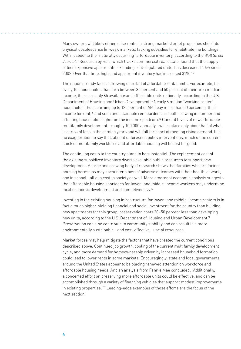Many owners will likely either raise rents (in strong markets) or let properties slide into physical obsolescence (in weak markets, lacking subsidies to rehabilitate the buildings). With respect to the "naturally occurring" affordable inventory, according to the *Wall Street Journal*, "Research by Reis, which tracks commercial real estate, found that the supply of less expensive apartments, excluding rent-regulated units, has decreased 1.6% since 2002. Over that time, high-end apartment inventory has increased 31%."13

The nation already faces a growing shortfall of affordable rental units. For example, for every 100 households that earn between 30 percent and 50 percent of their area median income, there are only 65 available and affordable units nationally, according to the U.S. Department of Housing and Urban Development.<sup>14</sup> Nearly 6 million "working renter" households (those earning up to 120 percent of AMI) pay more than 50 percent of their income for rent,15 and such unsustainable rent burdens are both growing in number and affecting households higher on the income spectrum.<sup>16</sup> Current levels of new affordable multifamily development—roughly 100,000 annually—will replace only about half of what is at risk of loss in the coming years and will fall far short of meeting rising demand. It is no exaggeration to say that, absent unforeseen policy interventions, much of the current stock of multifamily workforce and affordable housing will be lost for good.

The continuing costs to the country stand to be substantial. The replacement cost of the existing subsidized inventory dwarfs available public resources to support new development. A large and growing body of research shows that families who are facing housing hardships may encounter a host of adverse outcomes with their health, at work, and in school—all at a cost to society as well. More emergent economic analysis suggests that affordable housing shortages for lower- and middle-income workers may undermine local economic development and competiveness.<sup>17</sup>

Investing in the existing housing infrastructure for lower- and middle-income renters is in fact a much higher-yielding financial and social investment for the country than building new apartments for this group: preservation costs 30–50 percent less than developing new units, according to the U.S. Department of Housing and Urban Development.18 Preservation can also contribute to community stability and can result in a more environmentally sustainable—and cost-effective—use of resources.

Market forces may help mitigate the factors that have created the current conditions described above. Continued job growth, cooling of the current multifamily development cycle, and more demand for homeownership driven by increased household formation could lead to lower rents in some markets. Encouragingly, state and local governments around the United States appear to be placing renewed attention on workforce and affordable housing needs. And an analysis from Fannie Mae concluded, "Additionally, a concerted effort on preserving more affordable units could be effective, and can be accomplished through a variety of financing vehicles that support modest improvements in existing properties."19 Leading-edge examples of those efforts are the focus of the next section.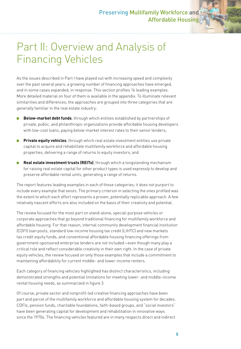### Part II: Overview and Analysis of Financing Vehicles

As the issues described in Part I have played out with increasing speed and complexity over the past several years, a growing number of financing approaches have emerged, and in some cases expanded, in response. This section profiles 16 leading examples. More detailed material on four of them is available in the appendix. To illuminate relevant similarities and differences, the approaches are grouped into three categories that are generally familiar in the real estate industry:

- **Below-market debt funds**, through which entities established by partnerships of private, public, and philanthropic organizations provide affordable housing developers with low-cost loans, paying below-market interest rates to their senior lenders;
- **Private equity vehicles**, through which real estate investment entities use private capital to acquire and rehabilitate multifamily workforce and affordable housing properties, delivering a range of returns to equity investors; and
- **Real estate investment trusts (REITs)**, through which a longstanding mechanism for raising real estate capital for other product types is used expressly to develop and preserve affordable rental units, generating a range of returns.

The report features leading examples in each of those categories; it does not purport to include every example that exists. The primary criterion in selecting the ones profiled was the extent to which each effort represents a proven, potentially replicable approach. A few relatively nascent efforts are also included on the basis of their creativity and potential.

The review focused for the most part on stand-alone, special-purpose vehicles or corporate approaches that go beyond traditional financing for multifamily workforce and affordable housing. For that reason, internal community development financial institution (CDFI) loan pools, standard low-income housing tax credit (LIHTC) and new markets tax credit equity funds, and conventional affordable housing financing offerings from government-sponsored enterprise lenders are not included—even though many play a critical role and reflect considerable creativity in their own right. In the case of private equity vehicles, the review focused on only those examples that include a commitment to maintaining affordability for current middle- and lower-income renters.

Each category of financing vehicles highlighted has distinct characteristics, including demonstrated strengths and potential limitations for meeting lower- and middle-income rental housing needs, as summarized in figure 3.

Of course, private sector and nonprofit-led creative financing approaches have been part and parcel of the multifamily workforce and affordable housing system for decades. CDFIs, pension funds, charitable foundations, faith-based groups, and "social investors" have been generating capital for development and rehabilitation in innovative ways since the 1970s. The financing vehicles featured are in many respects direct and indirect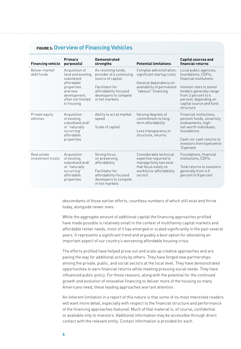#### **FIGURE 3: Overview of Financing Vehicles**

| <b>Financing vehicle</b>         | Primary<br>purpose(s)                                                                                                                       | <b>Demonstrated</b><br>strengths                                                                                                                            | <b>Potential limitations</b>                                                                                                            | <b>Capital sources and</b><br>financial returns                                                                                                                                                                        |
|----------------------------------|---------------------------------------------------------------------------------------------------------------------------------------------|-------------------------------------------------------------------------------------------------------------------------------------------------------------|-----------------------------------------------------------------------------------------------------------------------------------------|------------------------------------------------------------------------------------------------------------------------------------------------------------------------------------------------------------------------|
| Below-market<br>debt funds       | Acquisition of<br>land and existing<br>subsidized<br>affordable<br>properties<br>and new<br>development:<br>often not limited<br>to housing | As revolving funds,<br>provider of a continuing<br>source of capital<br>Facilitator for<br>affordability-focused<br>developers to compete<br>in hot markets | Complex administration;<br>significant startup costs<br>General dependency on<br>availability of permanent<br>"takeout" financing       | Local public agencies,<br>foundations, CDFIs,<br>financial institutions<br>Interest rates to senior<br>lenders generally range<br>from 2 percent to 6<br>percent, depending on<br>capital source and fund<br>structure |
| Private equity<br>vehicles       | Acquisition<br>of existing<br>subsidized and/<br>or "naturally<br>occurring"<br>affordable<br>properties                                    | Ability to act at market<br>speed<br>Scale of capital                                                                                                       | Varying degrees of<br>commitment to long-<br>term affordability<br>Less transparency in<br>structure, returns                           | Financial institutions.<br>pension funds, university<br>endowments, high-<br>net-worth individuals.<br>foundations<br>Cash-on-cash returns to<br>investors from 6 percent to<br>12 percent                             |
| Real estate<br>investment trusts | Acquisition<br>of existing<br>subsidized and/<br>or "naturally<br>occurring"<br>affordable<br>properties                                    | Strong focus<br>on preserving<br>affordability<br>Facilitator for<br>affordability-focused<br>developers to compete<br>in hot markets                       | Considerable technical<br>expertise required to<br>manage (only two exist<br>that focus solely on<br>workforce-affordability<br>sectorl | Foundations, financial<br>institutions, CDFIs<br>Total returns to investors<br>generally from 4.5<br>percent to 8 percent                                                                                              |

descendants of those earlier efforts, countless numbers of which still exist and thrive today, alongside newer ones.

While the aggregate amount of additional capital the financing approaches profiled have made possible is relatively small in the context of multifamily capital markets and affordable renter needs, most of it has emerged or scaled significantly in the past several years. It represents a significant trend and arguably a best option for alleviating an important aspect of our country's worsening affordable housing crisis.

The efforts profiled have helped prove out and scale up creative approaches and are paving the way for additional activity by others. They have forged new partnerships among the private, public, and social sectors at the local level. They have demonstrated opportunities to earn financial returns while meeting pressing social needs. They have influenced public policy. For those reasons, along with the potential for the continued growth and evolution of innovative financing to deliver more of the housing so many Americans need, these leading approaches warrant attention.

An inherent limitation in a report of this nature is that some of its most interested readers will want more detail, especially with respect to the financial structure and performance of the financing approaches featured. Much of that material is, of course, confidential or available only to investors. Additional information may be accessible through direct contact with the relevant entity. Contact information is provided for each.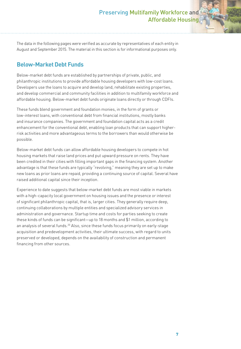The data in the following pages were verified as accurate by representatives of each entity in August and September 2015. The material in this section is for informational purposes only.

#### **Below-Market Debt Funds**

Below-market debt funds are established by partnerships of private, public, and philanthropic institutions to provide affordable housing developers with low-cost loans. Developers use the loans to acquire and develop land, rehabilitate existing properties, and develop commercial and community facilities in addition to multifamily workforce and affordable housing. Below-market debt funds originate loans directly or through CDFIs.

These funds blend government and foundation monies, in the form of grants or low-interest loans, with conventional debt from financial institutions, mostly banks and insurance companies. The government and foundation capital acts as a credit enhancement for the conventional debt, enabling loan products that can support higherrisk activities and more advantageous terms to the borrowers than would otherwise be possible.

Below-market debt funds can allow affordable housing developers to compete in hot housing markets that raise land prices and put upward pressure on rents. They have been credited in their cities with filling important gaps in the financing system. Another advantage is that these funds are typically "revolving," meaning they are set up to make new loans as prior loans are repaid, providing a continuing source of capital. Several have raised additional capital since their inception.

Experience to date suggests that below-market debt funds are most viable in markets with a high-capacity local government on housing issues and the presence or interest of significant philanthropic capital, that is, larger cities. They generally require deep, continuing collaborations by multiple entities and specialized advisory services in administration and governance. Startup time and costs for parties seeking to create these kinds of funds can be significant—up to 18 months and \$1 million, according to an analysis of several funds.<sup>20</sup> Also, since these funds focus primarily on early-stage acquisition and predevelopment activities, their ultimate success, with regard to units preserved or developed, depends on the availability of construction and permanent financing from other sources.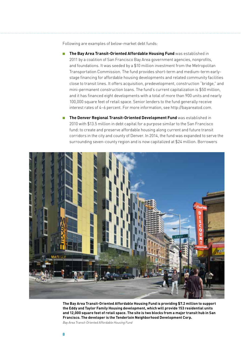Following are examples of below-market debt funds:

- **The Bay Area Transit-Oriented Affordable Housing Fund** was established in 2011 by a coalition of San Francisco Bay Area government agencies, nonprofits, and foundations. It was seeded by a \$10 million investment from the Metropolitan Transportation Commission. The fund provides short-term and medium-term earlystage financing for affordable housing developments and related community facilities close to transit lines. It offers acquisition, predevelopment, construction "bridge," and mini-permanent construction loans. The fund's current capitalization is \$50 million, and it has financed eight developments with a total of more than 900 units and nearly 100,000 square feet of retail space. Senior lenders to the fund generally receive interest rates of 4–6 percent. For more information, see http://bayareatod.com.
- **The Denver Regional Transit-Oriented Development Fund** was established in 2010 with \$13.5 million in debt capital for a purpose similar to the San Francisco fund: to create and preserve affordable housing along current and future transit corridors in the city and county of Denver. In 2014, the fund was expanded to serve the surrounding seven-county region and is now capitalized at \$24 million. Borrowers



**The Bay Area Transit-Oriented Affordable Housing Fund is providing \$7.2 million to support the Eddy and Taylor Family Housing development, which will provide 153 residential units and 12,000 square feet of retail space. The site is two blocks from a major transit hub in San Francisco. The developer is the Tenderloin Neighborhood Development Corp.**

*Bay Area Transit-Oriented Affordable Housing Fund*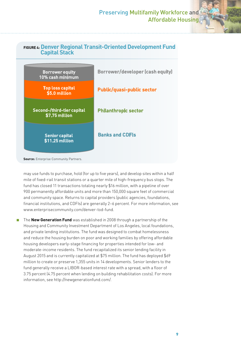

**Source:** Enterprise Community Partners.

may use funds to purchase, hold (for up to five years), and develop sites within a half mile of fixed-rail transit stations or a quarter mile of high-frequency bus stops. The fund has closed 11 transactions totaling nearly \$16 million, with a pipeline of over 900 permanently affordable units and more than 150,000 square feet of commercial and community space. Returns to capital providers (public agencies, foundations, financial institutions, and CDFIs) are generally 2–6 percent. For more information, see www.enterprisecommunity.com/denver-tod-fund.

The **New Generation Fund** was established in 2008 through a partnership of the Housing and Community Investment Department of Los Angeles, local foundations, and private lending institutions. The fund was designed to combat homelessness and reduce the housing burden on poor and working families by offering affordable housing developers early-stage financing for properties intended for low- and moderate-income residents. The fund recapitalized its senior lending facility in August 2015 and is currently capitalized at \$75 million. The fund has deployed \$69 million to create or preserve 1,355 units in 14 developments. Senior lenders to the fund generally receive a LIBOR-based interest rate with a spread, with a floor of 3.75 percent (4.75 percent when lending on building rehabilitation costs). For more information, see http://newgenerationfund.com/.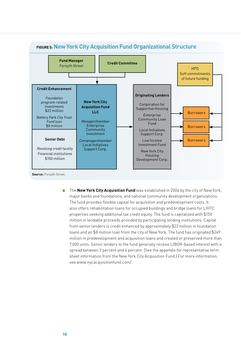

■ The **New York City Acquisition Fund** was established in 2006 by the city of New York, major banks and foundations, and national community development organizations. The fund provides flexible capital for acquisition and predevelopment costs. It also offers rehabilitation loans for occupied buildings and bridge loans for LIHTC properties seeking additional tax credit equity. The fund is capitalized with \$150 million in lendable proceeds provided by participating lending institutions. Capital from senior lenders is credit enhanced by approximately \$22 million in foundation loans and an \$8 million loan from the city of New York. The fund has originated \$249 million in predevelopment and acquisition loans and created or preserved more than 7,000 units. Senior lenders to the fund generally receive LIBOR-based interest with a spread between 3 percent and 4 percent. (See the appendix for representative term sheet information from the New York City Acquisition Fund.) For more information, see www.nycacquisitionfund.com/.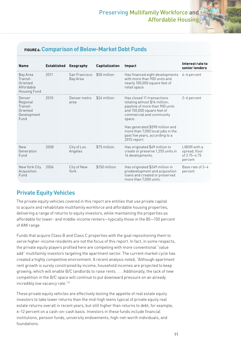#### **FIGURE 6: Comparison of Below-Market Debt Funds**

| <b>Name</b>                                                       | Established | Geography                 | Capitalization | Impact                                                                                                                                                                                                                                                                                        | Interest rate to<br>senior lenders                       |
|-------------------------------------------------------------------|-------------|---------------------------|----------------|-----------------------------------------------------------------------------------------------------------------------------------------------------------------------------------------------------------------------------------------------------------------------------------------------|----------------------------------------------------------|
| Bay Area<br>Transit-<br>Oriented<br>Affordable<br>Housing Fund    | 2011        | San Francisco<br>Bay Area | \$50 million   | Has financed eight developments<br>with more than 900 units and<br>nearly 100,000 square feet of<br>retail space.                                                                                                                                                                             | 4-6 percent                                              |
| Denver<br>Regional<br>Transit-<br>Oriented<br>Development<br>Fund | 2010        | Denver metro<br>area      | \$24 million   | Has closed 11 transactions<br>totaling almost \$16 million;<br>pipeline of more than 900 units<br>and 150,000 square feet of<br>commercial and community<br>space.<br>Has generated \$598 million and<br>more than 7,000 local jobs in the<br>past five years, according to a<br>2015 report. | 2-6 percent                                              |
| <b>New</b><br>Generation<br>Fund                                  | 2008        | City of Los<br>Angeles    | \$75 million   | Has originated \$69 million to<br>create or preserve 1,355 units in<br>14 developments.                                                                                                                                                                                                       | LIBOR with a<br>spread, floor<br>of 3.75-4.75<br>percent |
| New York City<br>Acquisition<br>Fund                              | 2006        | City of New<br>York       | \$150 million  | Has originated \$249 million in<br>predevelopment and acquisition<br>loans and created or preserved<br>more than 7,000 units.                                                                                                                                                                 | Base rate of 3-4<br>percent                              |

#### **Private Equity Vehicles**

The private equity vehicles covered in this report are entities that use private capital to acquire and rehabilitate multifamily workforce and affordable housing properties, delivering a range of returns to equity investors, while maintaining the properties as affordable for lower- and middle-income renters—typically those in the 80—100 percent of AMI range.

Funds that acquire Class B and Class C properties with the goal repositioning them to serve higher-income residents are not the focus of this report. In fact, in some respects, the private equity players profiled here are competing with more conventional "value add" multifamily investors targeting the apartment sector. The current market cycle has created a highly competitive environment. A recent analysis noted, "Although apartment rent growth is surely constrained by income, household incomes are projected to keep growing, which will enable B/C landlords to raise rents. . . . Additionally, the lack of new competition in the B/C space will continue to put downward pressure on an already incredibly low vacancy rate."21

These private equity vehicles are effectively testing the appetite of real estate equity investors to take lower returns than the mid-high teens typical of private equity real estate returns overall in recent years, but still higher than returns to debt, for example, 6–12 percent on a cash-on-cash basis. Investors in these funds include financial institutions, pension funds, university endowments, high-net-worth individuals, and foundations.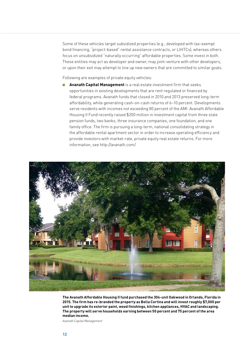Some of these vehicles target subsidized properties (e.g., developed with tax-exempt bond financing, "project-based" rental assistance contracts, or LIHTCs), whereas others focus on unsubsidized "naturally occurring" affordable properties. Some invest in both. These entities may act as developer and owner, may joint-venture with other developers, or upon their exit may attempt to line up new owners that are committed to similar goals.

Following are examples of private equity vehicles:

Avanath Capital Management is a real estate investment firm that seeks opportunities in existing developments that are rent regulated or financed by federal programs. Avanath funds that closed in 2010 and 2013 preserved long-term affordability, while generating cash-on-cash returns of 6–10 percent. Developments serve residents with incomes not exceeding 80 percent of the AMI. Avanath Affordable Housing II Fund recently raised \$200 million in investment capital from three state pension funds, two banks, three insurance companies, one foundation, and one family office. The firm is pursuing a long-term, national consolidating strategy in the affordable rental apartment sector in order to increase operating efficiency and provide investors with market-rate, private equity real estate returns. For more information, see http://avanath.com/.

![](_page_19_Picture_3.jpeg)

**The Avanath Affordable Housing II fund purchased the 304-unit Oakwood in Orlando, Florida in 2015. The firm has re-branded the property as Bella Cortina and will invest roughly \$7,000 per unit to upgrade its exterior paint, wood finishings, kitchen appliances, HVAC and landscaping. The property will serve households earning between 50 percent and 75 percent of the area median income.**

*Avanath Capital Management*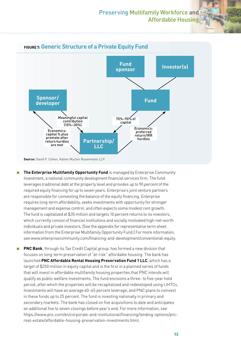![](_page_20_Figure_1.jpeg)

- **The Enterprise Multifamily Opportunity Fund** is managed by Enterprise Community Investment, a national community development financial services firm. The fund leverages traditional debt at the property level and provides up to 90 percent of the required equity financing for up to seven years. Enterprise's joint venture partners are responsible for coinvesting the balance of the equity financing. Enterprise requires long-term affordability, seeks investments with opportunity for stronger management and expense control, and often expects some modest rent growth. The fund is capitalized at \$35 million and targets 10 percent returns to its investors, which currently consist of financial institutions and socially motivated high-net-worth individuals and private investors. (See the appendix for representative term sheet information from the Enterprise Multifamily Opportunity Fund.) For more information, see www.enterprisecommunity.com/financing-and-development/conventional-equity.
- **PNC Bank**, through its Tax Credit Capital group, has formed a new division that focuses on long-term preservation of "at-risk" affordable housing. The bank has launched **PNC Affordable Rental Housing Preservation Fund 1 LLC**, which has a target of \$250 million in equity capital and is the first in a planned series of funds that will invest in affordable multifamily housing properties that PNC intends will qualify as public welfare investments. The fund envisions a three- to five-year hold period, after which the properties will be recapitalized and redeveloped using LIHTCs. Investments will have an average 60–65 percent leverage, and PNC plans to coinvest in these funds up to 25 percent. The fund is investing nationally in primary and secondary markets. The bank has closed on five acquisitions to date and anticipates an additional five to seven closings before year's end. For more information, see https://www.pnc.com/en/corporate-and-institutional/financing/lending-options/pncreal-estate/affordable-housing-preservation-investments.html.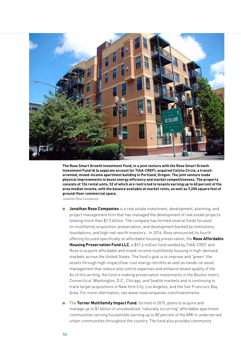![](_page_21_Picture_0.jpeg)

**The Rose Smart Growth Investment Fund, in a joint venture with the Rose Smart Growth Investment Fund IA (a separate account for TIAA-CREF), acquired Collins Circle, a transitoriented, mixed-income apartment building in Portland, Oregon. The joint venture made physical improvements to boost energy efficiency and market competitiveness. The property consists of 124 rental units, 52 of which are restricted to tenants earning up to 60 percent of the area median income, with the balance available at market rents, as well as 7,200 square feet of ground-floor commercial space.**

*Jonathan Rose Companies*

- **Jonathan Rose Companies** is a real estate investment, development, planning, and project management firm that has managed the development of real estate projects totaling more than \$1.5 billion. The company has formed several funds focused on multifamily acquisition, preservation, and development backed by institutions, foundations, and high-net-worth investors. In 2014, Rose announced its fourth offering focused specifically on affordable housing preservation, the **Rose Affordable Housing Preservation Fund LLC**, a \$51.6 million fund seeded by TIAA-CREF and Rose to acquire affordable and mixed-income multifamily housing in high-demand markets across the United States. The fund's goal is to improve and "green" the assets through high-impact/low-cost energy retrofits as well as hands-on asset management that reduce and control expenses and enhance tenant quality of life. As of this writing, the fund is making preservation investments in the Boston metro, Connecticut, Washington, D.C., Chicago, and Seattle markets and is continuing to track target acquisitions in New York City, Los Angeles, and the San Francisco Bay Area. For more information, see www.rosecompanies.com/investments.
- The Turner Multifamily Impact Fund, formed in 2015, plans to acquire and manage up to \$1 billion in unsubsidized "naturally occurring" affordable apartment communities serving households earning up to 80 percent of the AMI in underserved urban communities throughout the country. The fund also provides community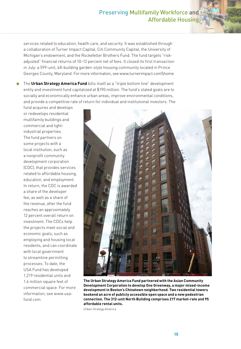services related to education, health care, and security. It was established through a collaboration of Turner Impact Capital, Citi Community Capital, the University of Michigan's endowment, and the Rockefeller Brothers Fund. The fund targets "riskadjusted" financial returns of 10–12 percent net of fees. It closed its first transaction in July: a 599-unit, 48-building garden-style housing community located in Prince Georges County, Maryland. For more information, see www.turnerimpact.com\\home.

The **Urban Strategy America Fund** bills itself as a "triple bottom line" development entity and investment fund capitalized at \$190 million. The fund's stated goals are to socially and economically enhance urban areas, improve environmental conditions, and provide a competitive rate of return for individual and institutional investors. The

fund acquires and develops or redevelops residential multifamily buildings and commercial and lightindustrial properties. The fund partners on some projects with a local institution, such as a nonprofit community development corporation (CDC), that provides services related to affordable housing, education, and employment. In return, the CDC is awarded a share of the developer fee, as well as a share of the revenue, after the fund reaches an approximately 12 percent overall return on investment. The CDCs help the projects meet social and economic goals, such as employing and housing local residents, and can coordinate with local government to streamline permitting processes. To date, the USA Fund has developed 1,219 residential units and 1.6 million square feet of commercial space. For more information, see www.usafund.com.

![](_page_22_Picture_4.jpeg)

**The Urban Strategy America Fund partnered with the Asian Community Development Corporation to develop One Greenway, a major mixed-income development in Boston's Chinatown neighborhood. Two residential towers bookend an acre of publicly accessible open space and a new pedestrian connection. The 312-unit North Building comprises 217 market-rate and 95 affordable rental units.**

*Urban Strategy America*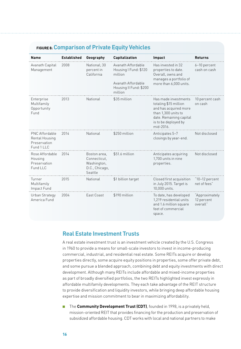#### **FIGURE 8: Comparison of Private Equity Vehicles**

| <b>Name</b>                                                    | <b>Established</b> | Geography                                                                | Capitalization                                                                                                    | Impact                                                                                                                                                        | <b>Returns</b>                           |
|----------------------------------------------------------------|--------------------|--------------------------------------------------------------------------|-------------------------------------------------------------------------------------------------------------------|---------------------------------------------------------------------------------------------------------------------------------------------------------------|------------------------------------------|
| Avanath Capital<br>Management                                  | 2008               | National; 30<br>percent in<br>California                                 | Avanath Affordable<br>Housing I Fund: \$120<br>million<br>Avanath Affordable<br>Housing II Fund: \$200<br>million | Has invested in 32<br>properties to date.<br>Overall, owns and<br>manages a portfolio of<br>more than 6,000 units.                                            | 6-10 percent<br>cash on cash             |
| Enterprise<br>Multifamily<br>Opportunity<br>Fund               | 2013               | National                                                                 | \$35 million                                                                                                      | Has made investments<br>totaling \$15 million<br>and has acquired more<br>than 1,300 units to<br>date. Remaining capital<br>is to be deployed by<br>mid-2016. | 10 percent cash<br>on cash               |
| PNC Affordable<br>Rental Housing<br>Preservation<br>Fund 1 LLC | 2014               | National                                                                 | \$250 million                                                                                                     | Anticipates 5-7<br>closings by year-end.                                                                                                                      | Not disclosed                            |
| Rose Affordable<br>Housing<br>Preservation<br>Fund LLC         | 2014               | Boston area,<br>Connecticut,<br>Washington,<br>D.C., Chicago,<br>Seattle | \$51.6 million                                                                                                    | Anticipates acquiring<br>1,700 units in nine<br>properties.                                                                                                   | Not disclosed                            |
| Turner<br>Multifamily<br>Impact Fund                           | 2015               | National                                                                 | \$1 billion target                                                                                                | Closed first acquisition<br>in July 2015. Target is<br>10,000 units.                                                                                          | "10-12 percent<br>net of fees"           |
| Urban Strategy<br>America Fund                                 | 2004               | East Coast                                                               | \$190 million                                                                                                     | To date, has developed<br>1.219 residential units<br>and 1.6 million square<br>feet of commercial<br>space.                                                   | "Approximately<br>12 percent<br>overall" |

#### **Real Estate Investment Trusts**

A real estate investment trust is an investment vehicle created by the U.S. Congress in 1960 to provide a means for small-scale investors to invest in income-producing commercial, industrial, and residential real estate. Some REITs acquire or develop properties directly, some acquire equity positions in properties, some offer private debt, and some pursue a blended approach, combining debt and equity investments with direct development. Although many REITs include affordable and mixed-income properties as part of broadly diversified portfolios, the two REITs highlighted invest expressly in affordable multifamily developments. They each take advantage of the REIT structure to provide diversification and liquidity investors, while bringing deep affordable housing expertise and mission commitment to bear in maximizing affordability.

■ The **Community Development Trust (CDT)**, founded in 1998, is a privately held, mission-oriented REIT that provides financing for the production and preservation of subsidized affordable housing. CDT works with local and national partners to make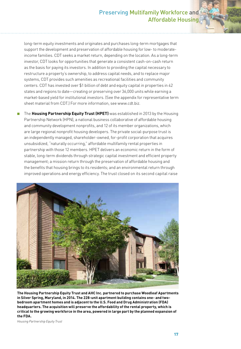long-term equity investments and originates and purchases long-term mortgages that support the development and preservation of affordable housing for low- to moderateincome families. CDT seeks a market return, depending on the location. As a long-term investor, CDT looks for opportunities that generate a consistent cash-on-cash return as the basis for paying its investors. In addition to providing the capital necessary to restructure a property's ownership, to address capital needs, and to replace major systems, CDT provides such amenities as recreational facilities and community centers. CDT has invested over \$1 billion of debt and equity capital in properties in 42 states and regions to date—creating or preserving over 36,000 units while earning a market-based yield for institutional investors. (See the appendix for representative term sheet material from CDT.) For more information, see www.cdt.biz.

■ The Housing Partnership Equity Trust (HPET) was established in 2013 by the Housing Partnership Network (HPN), a national business collaborative of affordable housing and community development nonprofits, and 12 of its member organizations, which are large regional nonprofit housing developers. The private social-purpose trust is an independently managed, shareholder-owned, for-profit corporation that acquires unsubsidized, "naturally occurring," affordable multifamily rental properties in partnership with those 12 members. HPET delivers an economic return in the form of stable, long-term dividends through strategic capital investment and efficient property management; a mission return through the preservation of affordable housing and the benefits that housing brings to its residents; and an environmental return through improved operations and energy efficiency. The trust closed on its second capital raise

![](_page_24_Picture_3.jpeg)

**The Housing Partnership Equity Trust and AHC Inc. partnered to purchase Woodleaf Apartments in Silver Spring, Maryland, in 2014. The 228-unit apartment building contains one- and twobedroom apartment homes and is adjacent to the U.S. Food and Drug Administration (FDA) headquarters. The acquisition will preserve the affordability of the rental property, which is critical to the growing workforce in the area, powered in large part by the planned expansion of the FDA.**

*Housing Partnership Equity Trust*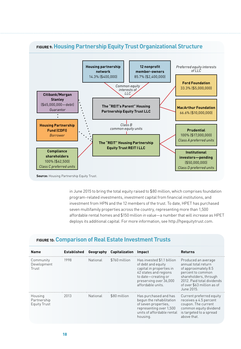![](_page_25_Figure_0.jpeg)

#### **FIGURE 9: Housing Partnership Equity Trust Organizational Structure**

**Source:** Housing Partnership Equity Trust.

in June 2015 to bring the total equity raised to \$80 million, which comprises foundation program-related investments, investment capital from financial institutions, and investment from HPN and the 12 members of the trust. To date, HPET has purchased seven multifamily properties across the country, representing more than 1,500 affordable rental homes and \$150 million in value—a number that will increase as HPET deploys its additional capital. For more information, see http://hpequitytrust.com.

#### **FIGURE 10: Comparison of Real Estate Investment Trusts**

| <b>Name</b>                            | <b>Established</b> | Geography | <b>Capitalization</b> | Impact                                                                                                                                                                      | <b>Returns</b>                                                                                                                                                                             |
|----------------------------------------|--------------------|-----------|-----------------------|-----------------------------------------------------------------------------------------------------------------------------------------------------------------------------|--------------------------------------------------------------------------------------------------------------------------------------------------------------------------------------------|
| Community<br>Development<br>Trust      | 1998               | National  | \$760 million         | Has invested \$1.1 billion<br>of debt and equity<br>capital in properties in<br>42 states and regions<br>to date-creating or<br>preserving over 36,000<br>affordable units. | Produced an average<br>annual total return<br>of approximately 8.5<br>percent to common<br>shareholders, through<br>2012. Paid total dividends<br>of over \$63 million as of<br>June 2015. |
| Housing<br>Partnership<br>Equity Trust | 2013               | National  | \$80 million          | Has purchased and has<br>begun the rehabilitation<br>of seven properties.<br>representing over 1,500<br>units of affordable rental<br>housing.                              | Current preferred equity<br>receives a 4.5 percent<br>coupon. The current<br>common equity dividend<br>is targeted to a spread<br>above that.                                              |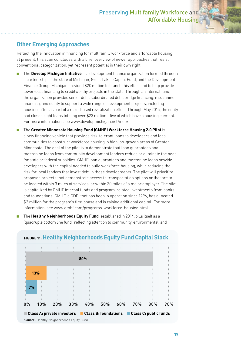#### **Other Emerging Approaches**

Reflecting the innovation in financing for multifamily workforce and affordable housing at present, this scan concludes with a brief overview of newer approaches that resist conventional categorization, yet represent potential in their own right.

- The **Develop Michigan Initiative** is a development finance organization formed through a partnership of the state of Michigan, Great Lakes Capital Fund, and the Development Finance Group. Michigan provided \$20 million to launch this effort and to help provide lower-cost financing to creditworthy projects in the state. Through an internal fund, the organization provides senior debt, subordinated debt, bridge financing, mezzanine financing, and equity to support a wide range of development projects, including housing, often as part of a mixed-used revitalization effort. Through May 2015, the entity had closed eight loans totaling over \$23 million—five of which have a housing element. For more information, see www.developmichigan.net/index.
- The Greater Minnesota Housing Fund (GMHF) Workforce Housing 2.0 Pilot is a new financing vehicle that provides risk-tolerant loans to developers and local communities to construct workforce housing in high job-growth areas of Greater Minnesota. The goal of the pilot is to demonstrate that loan guarantees and mezzanine loans from community development lenders reduce or eliminate the need for state or federal subsidies. GMHF loan guarantees and mezzanine loans provide developers with the capital needed to build workforce housing, while reducing the risk for local lenders that invest debt in those developments. The pilot will prioritize proposed projects that demonstrate access to transportation options or that are to be located within 3 miles of services, or within 30 miles of a major employer. The pilot is capitalized by GMHF internal funds and program-related investments from banks and foundations. GMHF, a CDFI that has been in operation since 1996, has allocated \$3 million for the program's first phase and is raising additional capital. For more information, see www.gmhf.com/programs-workforce-housing.html.
- The Healthy Neighborhoods Equity Fund, established in 2014, bills itself as a "quadruple bottom line fund" reflecting attention to community, environmental, and

![](_page_26_Figure_6.jpeg)

#### **FIGURE 11: Healthy Neighborhoods Equity Fund Capital Stack**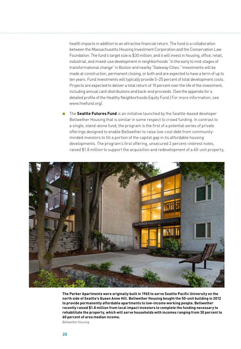health impacts in addition to an attractive financial return. The fund is a collaboration between the Massachusetts Housing Investment Corporation and the Conservation Law Foundation. The fund's target size is \$30 million, and it will invest in housing, office, retail, industrial, and mixed-use development in neighborhoods "in the early to mid-stages of transformational change" in Boston and nearby "Gateway Cities." Investments will be made at construction, permanent closing, or both and are expected to have a term of up to ten years. Fund investments will typically provide 5–25 percent of total development costs. Projects are expected to deliver a total return of 10 percent over the life of the investment, including annual cash distributions and back-end proceeds. (See the appendix for a detailed profile of the Healthy Neighborhoods Equity Fund.) For more information, see www.hnefund.org/.

■ The **Seattle Futures Fund** is an initiative launched by the Seattle-based developer Bellwether Housing that is similar in some respect to crowd funding. In contrast to a single, stand-alone fund, the program is the first of a potential series of private offerings designed to enable Bellwether to raise low-cost debt from communityminded investors to fill a portion of the capital gap in its affordable housing developments. The program's first offering, unsecured 2 percent–interest notes, raised \$1.8 million to support the acquisition and redevelopment of a 60-unit property,

![](_page_27_Picture_2.jpeg)

**The Parker Apartments were originally built in 1965 to serve Seattle Pacific University on the north side of Seattle's Queen Anne Hill. Bellwether Housing bought the 50-unit building in 2012 to provide permanently affordable apartments to low-income working people. Bellwether recently raised \$1.8 million from local impact investors to complete the funding necessary to rehabilitate the property, which will serve households with incomes ranging from 30 percent to 60 percent of area median income.** 

*Bellwether Housing*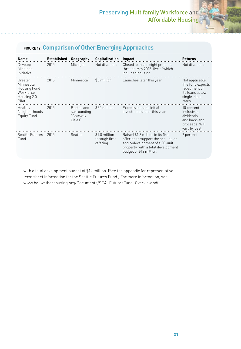#### **FIGURE 12: Comparison of Other Emerging Approaches**

| <b>Name</b>                                                               | Established | Geography                                        | <b>Capitalization</b>                      | Impact                                                                                                                                                                      | <b>Returns</b>                                                                                    |
|---------------------------------------------------------------------------|-------------|--------------------------------------------------|--------------------------------------------|-----------------------------------------------------------------------------------------------------------------------------------------------------------------------------|---------------------------------------------------------------------------------------------------|
| Develop<br>Michigan<br>Initiative                                         | 2015        | Michigan                                         | Not disclosed                              | Closed loans on eight projects<br>through May 2015, five of which<br>included housing.                                                                                      | Not disclosed.                                                                                    |
| Greater<br>Minnesota<br>Housing Fund<br>Workforce<br>Housing 2.0<br>Pilot | 2015        | Minnesota                                        | \$3 million                                | Launches later this year.                                                                                                                                                   | Not applicable.<br>The fund expects<br>repayment of<br>its loans at low<br>single-digit<br>rates. |
| Healthy<br>Neighborhoods<br><b>Equity Fund</b>                            | 2015        | Boston and<br>surrounding<br>"Gateway<br>Cities" | \$30 million                               | Expects to make initial<br>investments later this year.                                                                                                                     | 10 percent,<br>inclusive of<br>dividends<br>and back-end<br>proceeds. Will<br>vary by deal.       |
| Seattle Futures<br>Fund                                                   | 2015        | Seattle                                          | \$1.8 million<br>through first<br>offering | Raised \$1.8 million in its first<br>offering to support the acquisition<br>and redevelopment of a 60-unit<br>property, with a total development<br>budget of \$12 million. | 2 percent.                                                                                        |

with a total development budget of \$12 million. (See the appendix for representative term sheet information for the Seattle Futures Fund.) For more information, see www.bellwetherhousing.org/Documents/SEA\_FuturesFund\_Overview.pdf.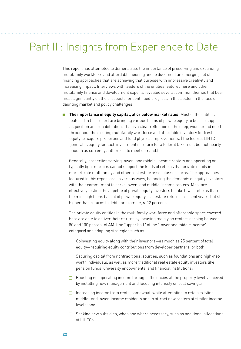### Part III: Insights from Experience to Date

This report has attempted to demonstrate the importance of preserving and expanding multifamily workforce and affordable housing and to document an emerging set of financing approaches that are achieving that purpose with impressive creativity and increasing impact. Interviews with leaders of the entities featured here and other multifamily finance and development experts revealed several common themes that bear most significantly on the prospects for continued progress in this sector, in the face of daunting market and policy challenges:

■ **The importance of equity capital, at or below market rates.** Most of the entities featured in this report are bringing various forms of private equity to bear to support acquisition and rehabilitation. That is a clear reflection of the deep, widespread need throughout the existing multifamily workforce and affordable inventory for fresh equity to acquire properties and fund physical improvements. (The federal LIHTC generates equity for such investment in return for a federal tax credit, but not nearly enough as currently authorized to meet demand.)

Generally, properties serving lower- and middle-income renters and operating on typically tight margins cannot support the kinds of returns that private equity in market-rate multifamily and other real estate asset classes earns. The approaches featured in this report are, in various ways, balancing the demands of equity investors with their commitment to serve lower- and middle-income renters. Most are effectively testing the appetite of private equity investors to take lower returns than the mid-high teens typical of private equity real estate returns in recent years, but still higher than returns to debt, for example, 6–12 percent.

The private equity entities in the multifamily workforce and affordable space covered here are able to deliver their returns by focusing mainly on renters earning between 80 and 100 percent of AMI (the "upper half" of the "lower and middle income" category) and adopting strategies such as

- $\Box$  Coinvesting equity along with their investors—as much as 25 percent of total equity—requiring equity contributions from developer partners, or both;
- $\Box$  Securing capital from nontraditional sources, such as foundations and high-networth individuals, as well as more traditional real estate equity investors like pension funds, university endowments, and financial institutions;
- $\Box$  Boosting net operating income through efficiencies at the property level, achieved by installing new management and focusing intensely on cost savings;
- $\Box$  Increasing income from rents, somewhat, while attempting to retain existing middle- and lower-income residents and to attract new renters at similar income levels; and
- $\Box$  Seeking new subsidies, when and where necessary, such as additional allocations of LIHTCs.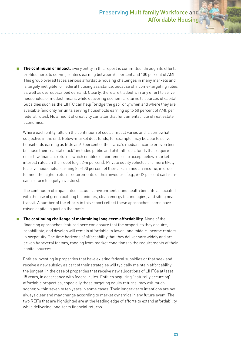**The continuum of impact.** Every entity in this report is committed, through its efforts profiled here, to serving renters earning between 60 percent and 100 percent of AMI. This group overall faces serious affordable housing challenges in many markets and is largely ineligible for federal housing assistance, because of income-targeting rules, as well as oversubscribed demand. Clearly, there are tradeoffs in any effort to serve households of modest means while delivering economic returns to sources of capital. Subsidies such as the LIHTC can help "bridge the gap" only when and where they are available (and only for units serving households earning up to 60 percent of AMI, per federal rules). No amount of creativity can alter that fundamental rule of real estate economics.

Where each entity falls on the continuum of social impact varies and is somewhat subjective in the end. Below-market debt funds, for example, may be able to serve households earning as little as 60 percent of their area's median income or even less, because their "capital stack" includes public and philanthropic funds that require no or low financial returns, which enables senior lenders to accept below-market interest rates on their debt (e.g., 2–6 percent). Private equity vehicles are more likely to serve households earning 80–100 percent of their area's median income, in order to meet the higher return requirements of their investors (e.g., 6–12 percent cash-oncash return to equity investors).

The continuum of impact also includes environmental and health benefits associated with the use of green building techniques, clean energy technologies, and siting near transit. A number of the efforts in this report reflect these approaches; some have raised capital in part on that basis.

■ **The continuing challenge of maintaining long-term affordability.** None of the financing approaches featured here can ensure that the properties they acquire, rehabilitate, and develop will remain affordable to lower- and middle-income renters in perpetuity. The time horizons of affordability that they deliver vary widely and are driven by several factors, ranging from market conditions to the requirements of their capital sources.

Entities investing in properties that have existing federal subsidies or that seek and receive a new subsidy as part of their strategies will typically maintain affordability the longest; in the case of properties that receive new allocations of LIHTCs at least 15 years, in accordance with federal rules. Entities acquiring "naturally occurring" affordable properties, especially those targeting equity returns, may exit much sooner, within seven to ten years in some cases. Their longer-term intentions are not always clear and may change according to market dynamics in any future event. The two REITs that are highlighted are at the leading edge of efforts to extend affordability while delivering long-term financial returns.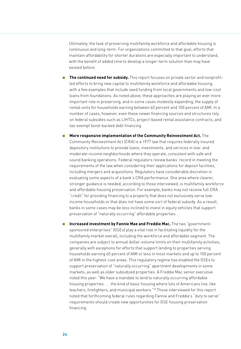Ultimately, the task of preserving multifamily workforce and affordable housing is continuous and long-term. For organizations committed to that goal, efforts that maintain affordability for shorter durations are especially important to understand, with the benefit of added time to develop a longer-term solution than may have existed before.

- **The continued need for subsidy.** This report focuses on private sector and nonprofit– led efforts to bring new capital to multifamily workforce and affordable housing, with a few examples that include seed funding from local governments and low-cost loans from foundations. As noted above, these approaches are playing an ever more important role in preserving, and in some cases modestly expanding, the supply of rental units for households earning between 60 percent and 100 percent of AMI. In a number of cases, however, even these newer financing sources and structures rely on federal subsidies such as LIHTCs, project-based rental assistance contracts, and tax-exempt bond-backed debt financing.
- **More responsive implementation of the Community Reinvestment Act.** The Community Reinvestment Act (CRA) is a 1977 law that requires federally insured depository institutions to provide loans, investments, and services in low- and moderate-income neighborhoods where they operate, consistent with safe and sound banking operations. Federal regulators review banks' record in meeting the requirements of the law when considering their applications for deposit facilities, including mergers and acquisitions. Regulators have considerable discretion in evaluating some aspects of a bank's CRA performance. One area where clearer, stronger guidance is needed, according to those interviewed, is multifamily workforce and affordable housing preservation. For example, banks may not receive full CRA "credit" for providing financing to a property that does not exclusively serve lowincome households or that does not have some sort of federal subsidy. As a result, banks in some cases may be less inclined to invest in equity vehicles that support preservation of "naturally occurring" affordable properties.
- **Increased investment by Fannie Mae and Freddie Mac.** The two "governmentsponsored enterprises" (GSEs) play a vital role in facilitating liquidity for the multifamily market overall, including the workforce and affordable segment. The companies are subject to annual dollar-volume limits on their multifamily activities, generally with exceptions for efforts that support lending to properties serving households earning 60 percent of AMI or less in most markets and up to 100 percent of AMI in the highest-cost areas. This regulatory regime has enabled the GSEs to support preservation of "naturally occurring" apartment developments in some markets, as well as older subsidized properties. A Freddie Mac senior executive noted this year: "We have a mandate to lend to naturally occurring affordable housing properties . . . the kind of basic housing where lots of Americans live, like teachers, firefighters, and municipal workers."22 Those interviewed for this report noted that forthcoming federal rules regarding Fannie and Freddie's "duty to serve" requirements should create new opportunities for GSE housing preservation financing.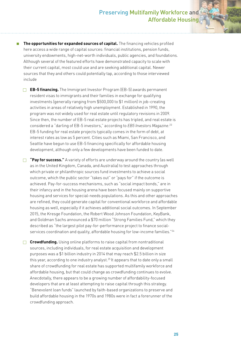#### Preserving Multifamily Workforce and Affordable Housing

■ **The opportunities for expanded sources of capital.** The financing vehicles profiled here access a wide range of capital sources: financial institutions, pension funds, university endowments, high-net-worth individuals, public agencies, and foundations. Although several of the featured efforts have demonstrated capacity to scale with their current capital, most could use and are seeking additional capital. Newer sources that they and others could potentially tap, according to those interviewed include

**F EB-5 financing.** The Immigrant Investor Program (EB-5) awards permanent resident visas to immigrants and their families in exchange for qualifying investments (generally ranging from \$500,000 to \$1 million) in job-creating activities in areas of relatively high unemployment. Established in 1990, the program was not widely used for real estate until regulatory revisions in 2009. Since then, the number of EB-5 real estate projects has tripled, and real estate is considered a "darling of EB-5 investors," according to *EB5 Investors Magazine*. 23 EB-5 funding for real estate projects typically comes in the form of debt, at interest rates as low as 5 percent. Cities such as Miami, San Francisco, and Seattle have begun to use EB-5 financing specifically for affordable housing development, although only a few developments have been funded to date.

 $\Box$  **"Pay for success."** A variety of efforts are underway around the country (as well as in the United Kingdom, Canada, and Australia) to test approaches through which private or philanthropic sources fund investments to achieve a social outcome, which the public sector "takes out" or "pays for" if the outcome is achieved. Pay-for-success mechanisms, such as "social impact bonds," are in their infancy and in the housing arena have been focused mainly on supportive housing and services for special-needs populations. As this and other approaches are refined, they could generate capital for conventional workforce and affordable housing as well, especially if it achieves additional social outcomes. In September 2015, the Kresge Foundation, the Robert Wood Johnson Foundation, KeyBank, and Goldman Sachs announced a \$70 million "Strong Families Fund," which they described as "the largest pilot pay-for-performance project to finance socialservices coordination and quality, affordable housing for low-income families."<sup>24</sup>

**Crowdfunding.** Using online platforms to raise capital from nontraditional sources, including individuals, for real estate acquisition and development purposes was a \$1 billion industry in 2014 that may reach \$2.5 billion in size this year, according to one industry analyst.<sup>25</sup> It appears that to date only a small share of crowdfunding for real estate has supported multifamily workforce and affordable housing, but that could change as crowdfunding continues to evolve. Anecdotally, there appears to be a growing number of affordability-focused developers that are at least attempting to raise capital through this strategy. "Benevolent loan funds" launched by faith-based organizations to preserve and build affordable housing in the 1970s and 1980s were in fact a forerunner of the crowdfunding approach.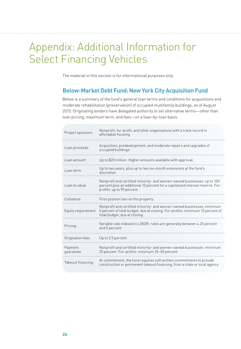### Appendix: Additional Information for Select Financing Vehicles

The material in this section is for informational purposes only.

#### **Below-Market Debt Fund: New York City Acquisition Fund**

Below is a summary of the fund's general loan terms and conditions for acquisitions and moderate rehabilitation (preservation) of occupied multifamily buildings, as of August 2015. Originating lenders have delegated authority to set alternative terms—other than loan pricing, maximum term, and fees—on a loan-by-loan basis.

| Project sponsors     | Nonprofit, for-profit, and other organizations with a track record in<br>affordable housing.                                                                                            |
|----------------------|-----------------------------------------------------------------------------------------------------------------------------------------------------------------------------------------|
| Loan proceeds        | Acquisition, predevelopment, and moderate repairs and upgrades of<br>occupied buildings.                                                                                                |
| Loan amount          | Up to \$20 million. Higher amounts available with approval.                                                                                                                             |
| Loan term            | Up to two years, plus up to two six-month extensions at the fund's<br>discretion.                                                                                                       |
| Loan to value        | Nonprofit and certified minority- and women-owned businesses: up to 100<br>percent plus an additional 10 percent for a capitalized interest reserve. For-<br>profits: up to 95 percent. |
| Collateral           | First position lien on the property.                                                                                                                                                    |
| Equity requirement   | Nonprofit and certified minority- and women-owned businesses: minimum<br>5 percent of total budget, due at closing. For-profits: minimum 10 percent of<br>total budget, due at closing. |
| Pricing              | Variable rate indexed to LIBOR; rates are generally between 4.25 percent<br>and 5 percent.                                                                                              |
| Origination fees     | Up to 2.5 percent.                                                                                                                                                                      |
| Payment<br>quarantee | Nonprofit and certified minority- and women-owned businesses: minimum<br>25 percent. For-profits: minimum 25-50 percent.                                                                |
| Takeout financing    | At commitment, the fund requires soft written commitments to provide<br>construction or permanent takeout financing, from a state or local agency.                                      |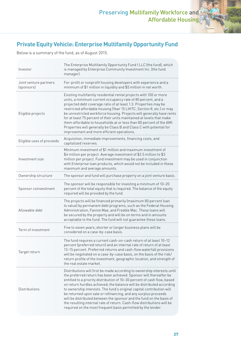#### **Private Equity Vehicle: Enterprise Multifamily Opportunity Fund**

Below is a summary of the fund, as of August 2015.

| Investor                             | The Enterprise Multifamily Opportunity Fund I LLC (the fund), which<br>is managed by Enterprise Community Investment Inc. (the fund<br>manager).                                                                                                                                                                                                                                                                                                                                                                                                                                                                                                                |
|--------------------------------------|-----------------------------------------------------------------------------------------------------------------------------------------------------------------------------------------------------------------------------------------------------------------------------------------------------------------------------------------------------------------------------------------------------------------------------------------------------------------------------------------------------------------------------------------------------------------------------------------------------------------------------------------------------------------|
| Joint venture partners<br>(sponsors) | For-profit or nonprofit housing developers with experience and a<br>minimum of \$1 million in liquidity and \$5 million in net worth.                                                                                                                                                                                                                                                                                                                                                                                                                                                                                                                           |
| Eligible projects                    | Existing multifamily residential rental projects with 100 or more<br>units, a minimum current occupancy rate of 80 percent, and a<br>projected debt coverage ratio of at least 1.3. Properties may be<br>restricted affordable housing (Year 15 LIHTC, Section 8, etc.) or may<br>be unrestricted workforce housing. Projects will generally have rents<br>for at least 75 percent of their units maintained at levels that make<br>them affordable to households at or less than 80 percent of the AMI.<br>Properties will generally be Class B and Class C with potential for<br>improvement and more efficient operations.                                   |
| Eligible uses of proceeds            | Acquisition, immediate improvements, financing costs, and<br>capitalized reserves.                                                                                                                                                                                                                                                                                                                                                                                                                                                                                                                                                                              |
| Investment size                      | Minimum investment of \$1 million and maximum investment of<br>\$4 million per project. Average investment of \$2.5 million to \$3<br>million per project. Fund investment may be used in conjunction<br>with Enterprise loan products, which would not be included in these<br>maximum and average amounts.                                                                                                                                                                                                                                                                                                                                                    |
| Ownership structure                  | The sponsor and fund will purchase property on a joint venture basis.                                                                                                                                                                                                                                                                                                                                                                                                                                                                                                                                                                                           |
| Sponsor coinvestment                 | The sponsor will be responsible for investing a minimum of 10-20<br>percent of the total equity that is required. The balance of the equity<br>required will be provided by the fund.                                                                                                                                                                                                                                                                                                                                                                                                                                                                           |
| Allowable debt                       | The projects will be financed primarily (maximum 80 percent loan<br>to value) by permanent debt programs, such as the Federal Housing<br>Administration, Fannie Mae, and Freddie Mac. These loans will<br>be secured by the property and will be on terms and in amounts<br>acceptable to the fund. The fund will not guarantee these loans.                                                                                                                                                                                                                                                                                                                    |
| Term of investment                   | Five to seven years; shorter or longer business plans will be<br>considered on a case-by-case basis.                                                                                                                                                                                                                                                                                                                                                                                                                                                                                                                                                            |
| Target return                        | The fund requires a current cash-on-cash return of at least 10–12<br>percent (preferred return) and an internal rate of return of at least<br>13-15 percent. Preferred returns and cash-flow waterfall provisions<br>will be negotiated on a case-by-case basis, on the basis of the risk/<br>return profile of the investment, geographic location, and strength of<br>the real estate market.                                                                                                                                                                                                                                                                 |
| Distributions                        | Distributions will first be made according to ownership interests until<br>the preferred return has been achieved. Sponsor will thereafter be<br>entitled to a priority distribution of 10-30 percent of cash flow, based<br>on return hurdles achieved; the balance will be distributed according<br>to ownership interests. The fund's original capital contribution will<br>be returned upon sale or refinancing, and any surplus proceeds<br>will be distributed between the sponsor and the fund on the basis of<br>the resulting internal rate of return. Cash-flow distributions will be<br>required on the most frequent basis permitted by the lender. |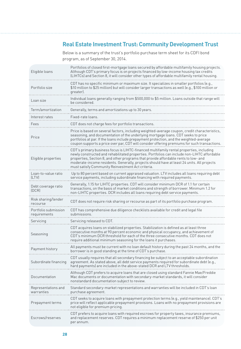#### **Real Estate Investment Trust: Community Development Trust**

Below is a summary of the trust's portfolio purchase term sheet for its CDFI bond program, as of September 30, 2014.

| Eligible loans                       | Portfolios of closed first-mortgage loans secured by affordable multifamily housing projects.<br>Although CDT's primary focus is on projects financed by low-income housing tax credits<br>(LIHTCs) and Section 8, it will consider other types of affordable multifamily rental housing.                                                                                                                                        |
|--------------------------------------|----------------------------------------------------------------------------------------------------------------------------------------------------------------------------------------------------------------------------------------------------------------------------------------------------------------------------------------------------------------------------------------------------------------------------------|
| Portfolio size                       | CDT has no specific minimum or maximum size. It specializes in smaller portfolios (e.g.,<br>\$10 million to \$25 million) but will consider larger transactions as well (e.g., \$100 million or<br>areater).                                                                                                                                                                                                                     |
| Loan size                            | Individual loans generally ranging from \$500,000 to \$5 million. Loans outside that range will<br>be considered.                                                                                                                                                                                                                                                                                                                |
| Term/amortization                    | Generally, terms and amortizations up to 30 years.                                                                                                                                                                                                                                                                                                                                                                               |
| Interest rates                       | Fixed-rate loans                                                                                                                                                                                                                                                                                                                                                                                                                 |
| Fees                                 | CDT does not charge fees for portfolio transactions.                                                                                                                                                                                                                                                                                                                                                                             |
| Price                                | Price is based on several factors, including weighted-average coupon, credit characteristics,<br>seasoning, and documentation of the underlying mortgage loans. CDT seeks to price<br>portfolios at par. If the loans include prepayment protection, and the weighted-average<br>coupon supports a price over par, CDT will consider offering premiums for such transactions.                                                    |
| Eligible properties                  | CDT's primary business focus is LIHTC-financed multifamily rental properties, including<br>newly constructed and rehabilitated properties. Portfolios can include non-LIHTC affordable<br>properties, Section 8, and other programs that provide affordable rents to low- and<br>moderate-income residents. Generally, projects should have at least 24 units. All projects<br>must satisfy Community Reinvestment Act criteria. |
| Loan-to-value ratio<br><b>ILTVI</b>  | Up to 80 percent based on current appraised valuation. LTV includes all loans requiring debt<br>service payments, including subordinate financing with required payments.                                                                                                                                                                                                                                                        |
| Debt coverage ratio<br>(DCR)         | Generally, 1.15 for LIHTC properties. CDT will consider minimum DCR of 1.1 for certain<br>transactions, on the basis of market conditions and strength of borrower. Minimum 1.2 for<br>non-LIHTC properties. DCR includes all loans requiring debt service payments.                                                                                                                                                             |
| Risk sharing/lender<br>recourse      | CDT does not require risk sharing or recourse as part of its portfolio purchase program.                                                                                                                                                                                                                                                                                                                                         |
| Portfolio submission<br>requirements | CDT has comprehensive due diligence checklists available for credit and legal file<br>submissions.                                                                                                                                                                                                                                                                                                                               |
| Servicing                            | Servicing released to CDT.                                                                                                                                                                                                                                                                                                                                                                                                       |
| Seasoning                            | CDT acquires loans on stabilized properties. Stabilization is defined as at least three<br>consecutive months at 90 percent economic and physical occupancy, and achievement of<br>CDT's minimum DCR threshold for each of the three consecutive months. CDT does not<br>require additional minimum seasoning for the loans it purchases.                                                                                        |
| Payment history                      | All payments must be current with no loan default history during the past 24 months, and the<br>borrower is in good standing at the time of CDT's purchase.                                                                                                                                                                                                                                                                      |
| Subordinate financing                | CDT usually requires that all secondary financing be subject to an acceptable subordination<br>agreement. As stated above, all debt service payments required for subordinate debt (e.g.,<br>hard payments) are included in the above-stated DCR and LTV thresholds.                                                                                                                                                             |
| Documentation                        | Although CDT prefers to acquire loans that are closed using standard Fannie Mae/Freddie<br>Mac documents or documentation with secondary-market standards, it will consider<br>nonstandard documentation subject to review.                                                                                                                                                                                                      |
| Representations and<br>warranties    | Standard secondary-market representations and warranties will be included in CDT's loan<br>purchase agreement.                                                                                                                                                                                                                                                                                                                   |
| Prepayment terms                     | CDT seeks to acquire loans with prepayment protection terms (e.g., yield maintenance). CDT's<br>price will reflect applicable prepayment provisions. Loans with no prepayment provisions are<br>not eligible for premium pricing.                                                                                                                                                                                                |
| Escrows/reserves                     | CDT prefers to acquire loans with required escrows for property taxes, insurance premiums,<br>and replacement reserves. CDT requires a minimum replacement reserve of \$250 per unit<br>per annum.                                                                                                                                                                                                                               |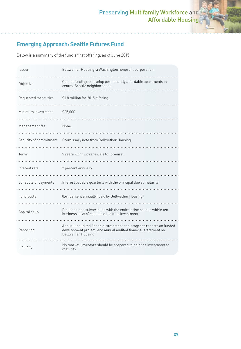#### **Emerging Approach: Seattle Futures Fund**

Below is a summary of the fund's first offering, as of June 2015.

| Issuer                | Bellwether Housing, a Washington nonprofit corporation.                                                                                                      |
|-----------------------|--------------------------------------------------------------------------------------------------------------------------------------------------------------|
| Objective             | Capital funding to develop permanently affordable apartments in<br>central Seattle neighborhoods.                                                            |
| Requested target size | \$1.8 million for 2015 offering.                                                                                                                             |
| Minimum investment    | \$25,000.                                                                                                                                                    |
| Management fee        | None.                                                                                                                                                        |
|                       | Security of commitment  Promissory note from Bellwether Housing.                                                                                             |
| Term                  | 5 years with two renewals to 15 years.                                                                                                                       |
| Interest rate         | 2 percent annually.                                                                                                                                          |
| Schedule of payments  | Interest payable quarterly with the principal due at maturity.                                                                                               |
| Fund costs            |                                                                                                                                                              |
|                       | 0.61 percent annually (paid by Bellwether Housing).                                                                                                          |
| Capital calls         | Pledged upon subscription with the entire principal due within ten<br>business days of capital call to fund investment.                                      |
| Reporting             | Annual unaudited financial statement and progress reports on funded<br>development project, and annual audited financial statement on<br>Bellwether Housing. |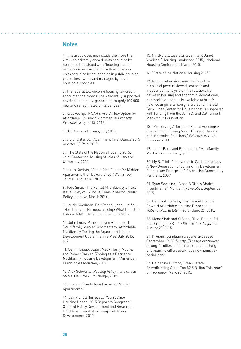#### **Notes**

1. This group does not include the more than 2 million privately owned units occupied by households assisted with "housing choice" rental vouchers or the more than 1 million units occupied by households in public housing properties owned and managed by local housing authorities.

2. The federal low-income housing tax credit accounts for almost all new federally supported development today, generating roughly 100,000 new and rehabilitated units per year.

3. Keat Foong, "NOAH's Arc: A New Option for Affordable Housing?" *Commercial Property Executive*, August 13, 2015.

4. U.S. Census Bureau, July 2015.

5. Victor Calanog, "Apartment First Glance 2015 Quarter 2," Reis, 2015.

6. "The State of the Nation's Housing 2015," Joint Center for Housing Studies of Harvard University, 2015.

7. Laura Kusisto, "Rents Rise Faster for Midtier Apartments than Luxury Ones," *Wall Street Journal*, August 18, 2015.

8. Todd Sinai, "The Rental Affordability Crisis," Issue Brief, vol. 2, no. 3, Penn-Wharton Public Policy Initiative, March 2014.

9. Laurie Goodman, Rolf Pendall, and Jun Zhu, "Headship and Homeownership: What Does the Future Hold?" Urban Institute, June 2015.

10. John Louis-Pane and Kim Betancourt, "Multifamily Market Commentary: Affordable Multifamily Feeling the Squeeze of Higher Development Costs," Fannie Mae, July 2015, p. 7.

11. Gerrit Knaap, Stuart Meck, Terry Moore, and Robert Parker, "Zoning as a Barrier to Multifamily Housing Development," American Planning Association, 2007.

12. Alex Schwartz, *Housing Policy in the United States*, New York: Routledge, 2015.

13. Kusisto, "Rents Rise Faster for Midtier Apartments."

14. Barry L. Steffen et al., "Worst Case Housing Needs: 2015 Report to Congress," Office of Policy Development and Research, U.S. Department of Housing and Urban Development, 2015.

15. Mindy Ault, Lisa Sturtevant, and Janet Viveiros, "Housing Landscape 2015," National Housing Conference, March 2015.

16. "State of the Nation's Housing 2015."

17. A comprehensive, searchable online archive of peer-reviewed research and independent analysis on the relationship between housing and economic, educational, and health outcomes is available at http:// howhousingmatters.org, a project of the ULI Terwilliger Center for Housing that is supported with funding from the John D. and Catherine T. MacArthur Foundation.

18. "Preserving Affordable Rental Housing: A Snapshot of Growing Need, Current Threats, and Innovative Solutions," *Evidence Matters*, Summer 2013.

19. Louis-Pane and Betancourt, "Multifamily Market Commentary," p. 7.

20. My B. Trinh, "Innovation in Capital Markets: A New Generation of Community Development Funds from Enterprise," Enterprise Community Partners, 2009.

21. Ryan Severino, "Class B Offers Choice Investments," *Multifamily Executive*, September 2015.

22. Bendix Anderson, "Fannie and Freddie Reward Affordable Housing Properties," *National Real Estate Investor*, June 23, 2015.

23. Mona Shah and Yi Song, "Real Estate: Still the Darling of EB-5," *EB5 Investors Magazine*, August 20, 2015.

24. Kresge Foundation website, accessed September 19, 2015: http://kresge.org/news/ strong-families-fund-finance-decade-longpilot-pairing-affordable-housing-intensivesocial-serv.

25. Catherine Clifford, "Real-Estate Crowdfunding Set to Top \$2.5 Billion This Year," *Entrepreneur*, March 3, 2015.